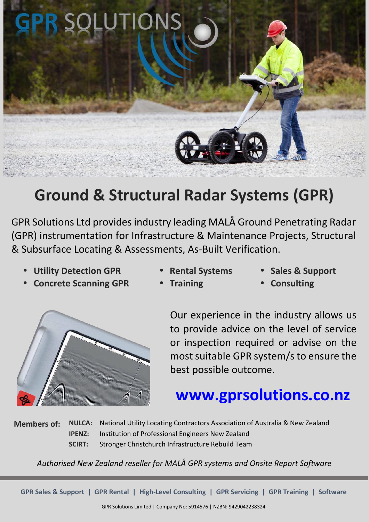

# **Ground & Structural Radar Systems (GPR)**

GPR Solutions Ltd provides industry leading MALÅ Ground Penetrating Radar (GPR) instrumentation for Infrastructure & Maintenance Projects, Structural & Subsurface Locating & Assessments, As-Built Verification.

- **Utility Detection GPR**
- **Rental Systems**

**Training**

**Sales & Support**

**Concrete Scanning GPR**

**Consulting**



Our experience in the industry allows us to provide advice on the level of service or inspection required or advise on the most suitable GPR system/s to ensure the best possible outcome.

# **www.gprsolutions.co.nz**

**Members of: NULCA:** National Utility Locating Contractors Association of Australia & New Zealand **IPENZ:** Institution of Professional Engineers New Zealand **SCIRT:** Stronger Christchurch Infrastructure Rebuild Team

*Authorised New Zealand reseller for MALÅ GPR systems and Onsite Report Software*